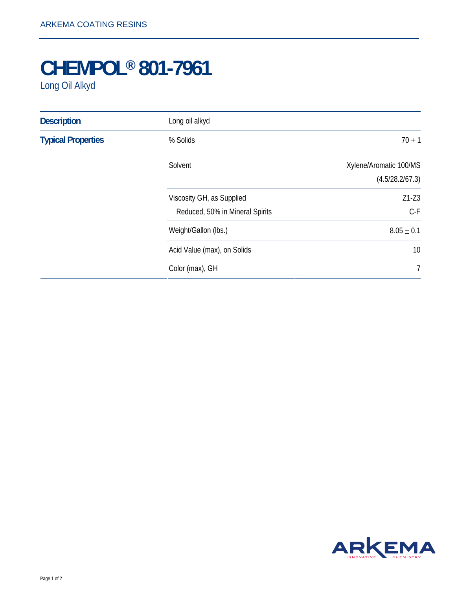## **CHEMPOL® 801-7961**

Long Oil Alkyd

| <b>Description</b>        | Long oil alkyd                                               |                                           |
|---------------------------|--------------------------------------------------------------|-------------------------------------------|
| <b>Typical Properties</b> | % Solids                                                     | $70 \pm 1$                                |
|                           | Solvent                                                      | Xylene/Aromatic 100/MS<br>(4.5/28.2/67.3) |
|                           | Viscosity GH, as Supplied<br>Reduced, 50% in Mineral Spirits | $Z1-Z3$<br>$C-F$                          |
|                           | Weight/Gallon (lbs.)                                         | $8.05 \pm 0.1$                            |
|                           | Acid Value (max), on Solids                                  | 10                                        |
|                           | Color (max), GH                                              | $\overline{7}$                            |